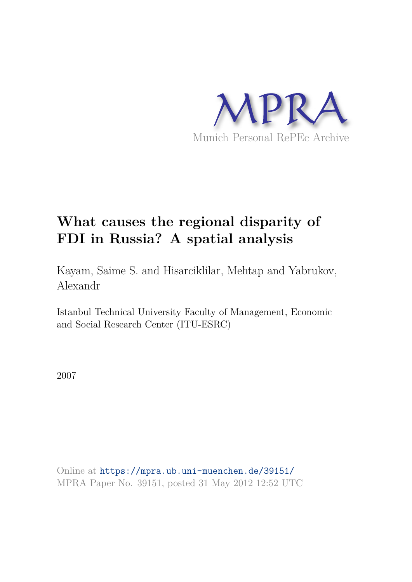

## **What causes the regional disparity of FDI in Russia? A spatial analysis**

Kayam, Saime S. and Hisarciklilar, Mehtap and Yabrukov, Alexandr

Istanbul Technical University Faculty of Management, Economic and Social Research Center (ITU-ESRC)

2007

Online at https://mpra.ub.uni-muenchen.de/39151/ MPRA Paper No. 39151, posted 31 May 2012 12:52 UTC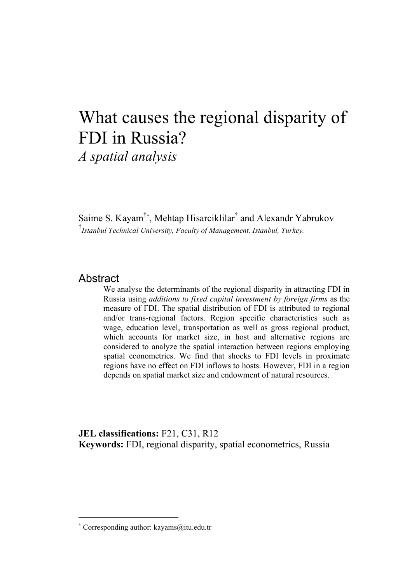# What causes the regional disparity of FDI in Russia?

*A spatial analysis*

Saime S. Kayam<sup>†∗</sup>, Mehtap Hisarciklilar<sup>†</sup> and Alexandr Yabrukov † *Istanbul Technical University, Faculty of Management, Istanbul, Turkey.*

### **Abstract**

We analyse the determinants of the regional disparity in attracting FDI in Russia using *additions to fixed capital investment by foreign firms* as the measure of FDI. The spatial distribution of FDI is attributed to regional and/or trans-regional factors. Region specific characteristics such as wage, education level, transportation as well as gross regional product, which accounts for market size, in host and alternative regions are considered to analyze the spatial interaction between regions employing spatial econometrics. We find that shocks to FDI levels in proximate regions have no effect on FDI inflows to hosts. However, FDI in a region depends on spatial market size and endowment of natural resources.

**JEL classifications:** F21, C31, R12 **Keywords:** FDI, regional disparity, spatial econometrics, Russia

<sup>∗</sup> Corresponding author: kayams@itu.edu.tr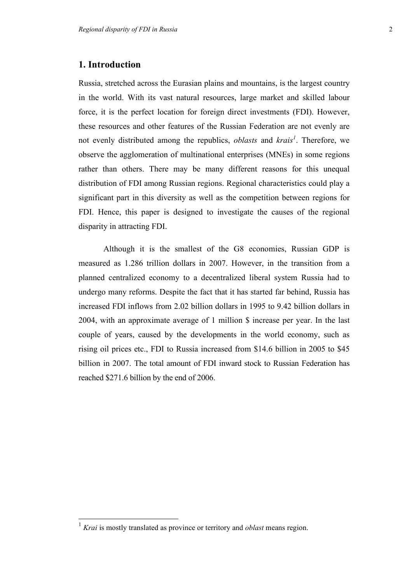#### **1. Introduction**

Russia, stretched across the Eurasian plains and mountains, is the largest country in the world. With its vast natural resources, large market and skilled labour force, it is the perfect location for foreign direct investments (FDI). However, these resources and other features of the Russian Federation are not evenly are not evenly distributed among the republics, *oblasts* and *krais<sup>1</sup>* . Therefore, we observe the agglomeration of multinational enterprises (MNEs) in some regions rather than others. There may be many different reasons for this unequal distribution of FDI among Russian regions. Regional characteristics could play a significant part in this diversity as well as the competition between regions for FDI. Hence, this paper is designed to investigate the causes of the regional disparity in attracting FDI.

Although it is the smallest of the G8 economies, Russian GDP is measured as 1.286 trillion dollars in 2007. However, in the transition from a planned centralized economy to a decentralized liberal system Russia had to undergo many reforms. Despite the fact that it has started far behind, Russia has increased FDI inflows from 2.02 billion dollars in 1995 to 9.42 billion dollars in 2004, with an approximate average of 1 million \$ increase per year. In the last couple of years, caused by the developments in the world economy, such as rising oil prices etc., FDI to Russia increased from \$14.6 billion in 2005 to \$45 billion in 2007. The total amount of FDI inward stock to Russian Federation has reached \$271.6 billion by the end of 2006.

 $\overline{a}$ <sup>1</sup> *Krai* is mostly translated as province or territory and *oblast* means region.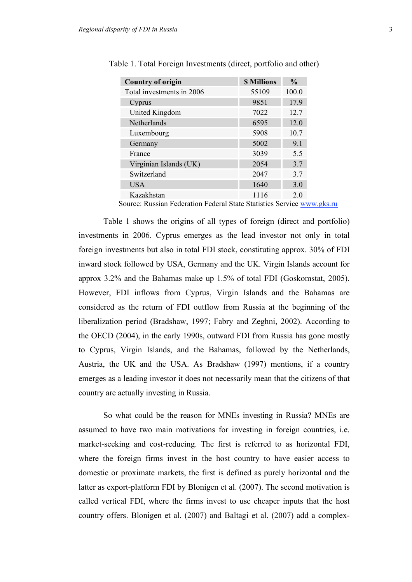| <b>Country of origin</b>  | <b>\$ Millions</b> | $\frac{0}{0}$ |
|---------------------------|--------------------|---------------|
| Total investments in 2006 | 55109              | 100.0         |
| Cyprus                    | 9851               | 17.9          |
| United Kingdom            | 7022               | 12.7          |
| Netherlands               | 6595               | 12.0          |
| Luxembourg                | 5908               | 10.7          |
| Germany                   | 5002               | 9.1           |
| France                    | 3039               | 5.5           |
| Virginian Islands (UK)    | 2054               | 3.7           |
| Switzerland               | 2047               | 3.7           |
| <b>USA</b>                | 1640               | 3.0           |
| Kazakhstan                | 1116               | 20            |

Table 1. Total Foreign Investments (direct, portfolio and other)

Source: Russian Federation Federal State Statistics Service www.gks.ru

Table 1 shows the origins of all types of foreign (direct and portfolio) investments in 2006. Cyprus emerges as the lead investor not only in total foreign investments but also in total FDI stock, constituting approx. 30% of FDI inward stock followed by USA, Germany and the UK. Virgin Islands account for approx 3.2% and the Bahamas make up 1.5% of total FDI (Goskomstat, 2005). However, FDI inflows from Cyprus, Virgin Islands and the Bahamas are considered as the return of FDI outflow from Russia at the beginning of the liberalization period (Bradshaw, 1997; Fabry and Zeghni, 2002). According to the OECD (2004), in the early 1990s, outward FDI from Russia has gone mostly to Cyprus, Virgin Islands, and the Bahamas, followed by the Netherlands, Austria, the UK and the USA. As Bradshaw (1997) mentions, if a country emerges as a leading investor it does not necessarily mean that the citizens of that country are actually investing in Russia.

So what could be the reason for MNEs investing in Russia? MNEs are assumed to have two main motivations for investing in foreign countries, i.e. market-seeking and cost-reducing. The first is referred to as horizontal FDI, where the foreign firms invest in the host country to have easier access to domestic or proximate markets, the first is defined as purely horizontal and the latter as export-platform FDI by Blonigen et al. (2007). The second motivation is called vertical FDI, where the firms invest to use cheaper inputs that the host country offers. Blonigen et al. (2007) and Baltagi et al. (2007) add a complex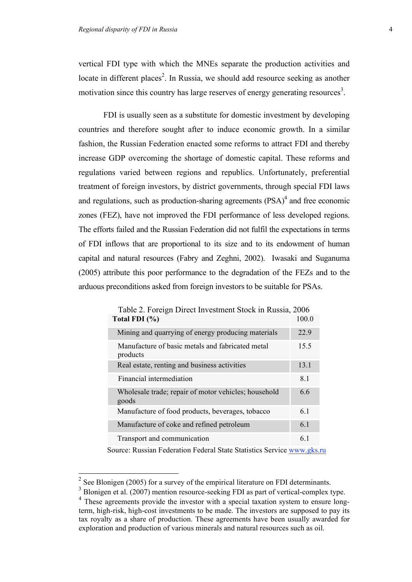vertical FDI type with which the MNEs separate the production activities and locate in different places<sup>2</sup>. In Russia, we should add resource seeking as another motivation since this country has large reserves of energy generating resources<sup>3</sup>.

FDI is usually seen as a substitute for domestic investment by developing countries and therefore sought after to induce economic growth. In a similar fashion, the Russian Federation enacted some reforms to attract FDI and thereby increase GDP overcoming the shortage of domestic capital. These reforms and regulations varied between regions and republics. Unfortunately, preferential treatment of foreign investors, by district governments, through special FDI laws and regulations, such as production-sharing agreements  $(PSA)^4$  and free economic zones (FEZ), have not improved the FDI performance of less developed regions. The efforts failed and the Russian Federation did not fulfil the expectations in terms of FDI inflows that are proportional to its size and to its endowment of human capital and natural resources (Fabry and Zeghni, 2002). Iwasaki and Suganuma (2005) attribute this poor performance to the degradation of the FEZs and to the arduous preconditions asked from foreign investors to be suitable for PSAs.

| Table 2. Foreign Direct Investment Stock in Russia, 2006      |       |
|---------------------------------------------------------------|-------|
| Total FDI (%)                                                 | 100.0 |
| Mining and quarrying of energy producing materials            | 22.9  |
| Manufacture of basic metals and fabricated metal<br>products  | 15.5  |
| Real estate, renting and business activities                  | 13.1  |
| Financial intermediation                                      | 8.1   |
| Wholesale trade; repair of motor vehicles; household<br>goods | 6.6   |
| Manufacture of food products, beverages, tobacco              | 6.1   |
| Manufacture of coke and refined petroleum                     | 6.1   |
| Transport and communication                                   | 6.1   |

Source: Russian Federation Federal State Statistics Service www.gks.ru

<sup>&</sup>lt;sup>2</sup> See Blonigen (2005) for a survey of the empirical literature on FDI determinants.

 $3$  Blonigen et al. (2007) mention resource-seeking FDI as part of vertical-complex type.

<sup>&</sup>lt;sup>4</sup> These agreements provide the investor with a special taxation system to ensure longterm, high-risk, high-cost investments to be made. The investors are supposed to pay its tax royalty as a share of production. These agreements have been usually awarded for exploration and production of various minerals and natural resources such as oil.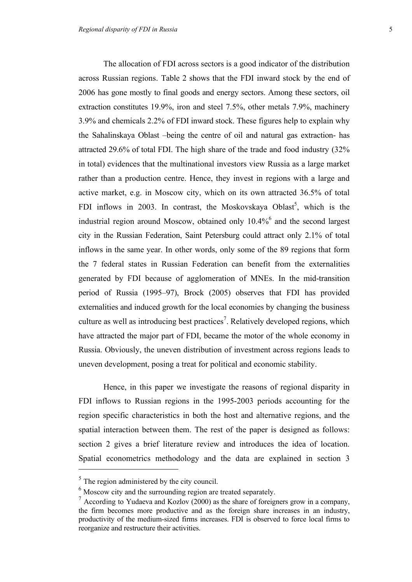The allocation of FDI across sectors is a good indicator of the distribution across Russian regions. Table 2 shows that the FDI inward stock by the end of 2006 has gone mostly to final goods and energy sectors. Among these sectors, oil extraction constitutes 19.9%, iron and steel 7.5%, other metals 7.9%, machinery 3.9% and chemicals 2.2% of FDI inward stock. These figures help to explain why the Sahalinskaya Oblast –being the centre of oil and natural gas extraction- has attracted 29.6% of total FDI. The high share of the trade and food industry (32% in total) evidences that the multinational investors view Russia as a large market rather than a production centre. Hence, they invest in regions with a large and active market, e.g. in Moscow city, which on its own attracted 36.5% of total FDI inflows in 2003. In contrast, the Moskovskaya Oblast<sup>5</sup>, which is the industrial region around Moscow, obtained only 10.4%<sup>6</sup> and the second largest city in the Russian Federation, Saint Petersburg could attract only 2.1% of total inflows in the same year. In other words, only some of the 89 regions that form the 7 federal states in Russian Federation can benefit from the externalities generated by FDI because of agglomeration of MNEs. In the mid-transition period of Russia (1995–97), Brock (2005) observes that FDI has provided externalities and induced growth for the local economies by changing the business culture as well as introducing best practices<sup>7</sup>. Relatively developed regions, which have attracted the major part of FDI, became the motor of the whole economy in Russia. Obviously, the uneven distribution of investment across regions leads to uneven development, posing a treat for political and economic stability.

Hence, in this paper we investigate the reasons of regional disparity in FDI inflows to Russian regions in the 1995-2003 periods accounting for the region specific characteristics in both the host and alternative regions, and the spatial interaction between them. The rest of the paper is designed as follows: section 2 gives a brief literature review and introduces the idea of location. Spatial econometrics methodology and the data are explained in section 3  $\overline{a}$ 

 $<sup>5</sup>$  The region administered by the city council.</sup>

 $<sup>6</sup>$  Moscow city and the surrounding region are treated separately.</sup>

 $7$  According to Yudaeva and Kozlov (2000) as the share of foreigners grow in a company, the firm becomes more productive and as the foreign share increases in an industry, productivity of the medium-sized firms increases. FDI is observed to force local firms to reorganize and restructure their activities.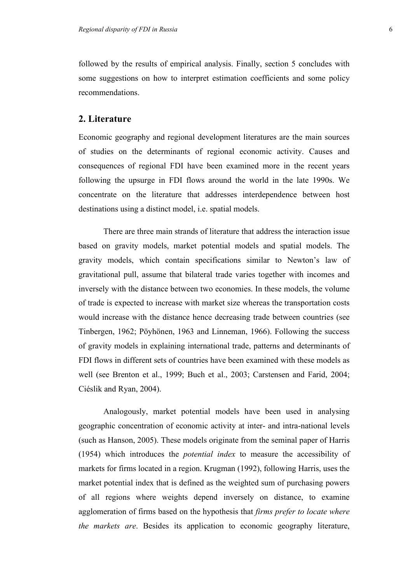followed by the results of empirical analysis. Finally, section 5 concludes with some suggestions on how to interpret estimation coefficients and some policy recommendations.

#### **2. Literature**

Economic geography and regional development literatures are the main sources of studies on the determinants of regional economic activity. Causes and consequences of regional FDI have been examined more in the recent years following the upsurge in FDI flows around the world in the late 1990s. We concentrate on the literature that addresses interdependence between host destinations using a distinct model, i.e. spatial models.

There are three main strands of literature that address the interaction issue based on gravity models, market potential models and spatial models. The gravity models, which contain specifications similar to Newton's law of gravitational pull, assume that bilateral trade varies together with incomes and inversely with the distance between two economies. In these models, the volume of trade is expected to increase with market size whereas the transportation costs would increase with the distance hence decreasing trade between countries (see Tinbergen, 1962; Pöyhönen, 1963 and Linneman, 1966). Following the success of gravity models in explaining international trade, patterns and determinants of FDI flows in different sets of countries have been examined with these models as well (see Brenton et al., 1999; Buch et al., 2003; Carstensen and Farid, 2004; Ciéslik and Ryan, 2004).

Analogously, market potential models have been used in analysing geographic concentration of economic activity at inter- and intra-national levels (such as Hanson, 2005). These models originate from the seminal paper of Harris (1954) which introduces the *potential index* to measure the accessibility of markets for firms located in a region. Krugman (1992), following Harris, uses the market potential index that is defined as the weighted sum of purchasing powers of all regions where weights depend inversely on distance, to examine agglomeration of firms based on the hypothesis that *firms prefer to locate where the markets are*. Besides its application to economic geography literature,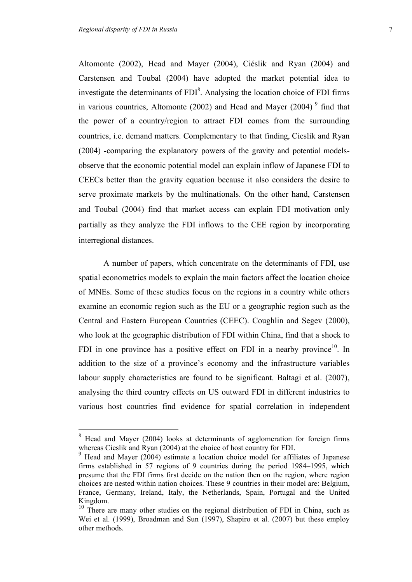$\overline{a}$ 

Altomonte (2002), Head and Mayer (2004), Ciéslik and Ryan (2004) and Carstensen and Toubal (2004) have adopted the market potential idea to investigate the determinants of  $FDI<sup>8</sup>$ . Analysing the location choice of  $FDI$  firms in various countries, Altomonte (2002) and Head and Mayer (2004)<sup>9</sup> find that the power of a country/region to attract FDI comes from the surrounding countries, i.e. demand matters. Complementary to that finding, Cieslik and Ryan (2004) -comparing the explanatory powers of the gravity and potential modelsobserve that the economic potential model can explain inflow of Japanese FDI to CEECs better than the gravity equation because it also considers the desire to serve proximate markets by the multinationals. On the other hand, Carstensen and Toubal (2004) find that market access can explain FDI motivation only partially as they analyze the FDI inflows to the CEE region by incorporating interregional distances.

A number of papers, which concentrate on the determinants of FDI, use spatial econometrics models to explain the main factors affect the location choice of MNEs. Some of these studies focus on the regions in a country while others examine an economic region such as the EU or a geographic region such as the Central and Eastern European Countries (CEEC). Coughlin and Segev (2000), who look at the geographic distribution of FDI within China, find that a shock to FDI in one province has a positive effect on FDI in a nearby province $10$ . In addition to the size of a province's economy and the infrastructure variables labour supply characteristics are found to be significant. Baltagi et al. (2007), analysing the third country effects on US outward FDI in different industries to various host countries find evidence for spatial correlation in independent

<sup>8</sup> Head and Mayer (2004) looks at determinants of agglomeration for foreign firms whereas Cieslik and Ryan (2004) at the choice of host country for FDI.

<sup>9</sup> Head and Mayer (2004) estimate a location choice model for affiliates of Japanese firms established in 57 regions of 9 countries during the period 1984–1995, which presume that the FDI firms first decide on the nation then on the region, where region choices are nested within nation choices. These 9 countries in their model are: Belgium, France, Germany, Ireland, Italy, the Netherlands, Spain, Portugal and the United Kingdom.

<sup>&</sup>lt;sup>10</sup> There are many other studies on the regional distribution of FDI in China, such as Wei et al. (1999), Broadman and Sun (1997), Shapiro et al. (2007) but these employ other methods.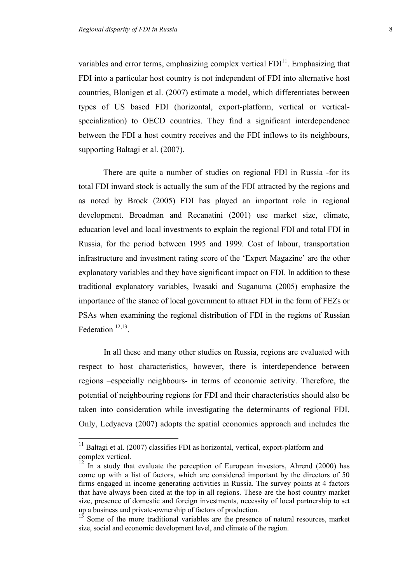variables and error terms, emphasizing complex vertical  $FDI<sup>11</sup>$ . Emphasizing that FDI into a particular host country is not independent of FDI into alternative host countries, Blonigen et al. (2007) estimate a model, which differentiates between types of US based FDI (horizontal, export-platform, vertical or verticalspecialization) to OECD countries. They find a significant interdependence between the FDI a host country receives and the FDI inflows to its neighbours, supporting Baltagi et al. (2007).

There are quite a number of studies on regional FDI in Russia -for its total FDI inward stock is actually the sum of the FDI attracted by the regions and as noted by Brock (2005) FDI has played an important role in regional development. Broadman and Recanatini (2001) use market size, climate, education level and local investments to explain the regional FDI and total FDI in Russia, for the period between 1995 and 1999. Cost of labour, transportation infrastructure and investment rating score of the 'Expert Magazine' are the other explanatory variables and they have significant impact on FDI. In addition to these traditional explanatory variables, Iwasaki and Suganuma (2005) emphasize the importance of the stance of local government to attract FDI in the form of FEZs or PSAs when examining the regional distribution of FDI in the regions of Russian Federation  $12,13$ .

In all these and many other studies on Russia, regions are evaluated with respect to host characteristics, however, there is interdependence between regions –especially neighbours- in terms of economic activity. Therefore, the potential of neighbouring regions for FDI and their characteristics should also be taken into consideration while investigating the determinants of regional FDI. Only, Ledyaeva (2007) adopts the spatial economics approach and includes the

 $11$  Baltagi et al. (2007) classifies FDI as horizontal, vertical, export-platform and complex vertical.

 $12 \text{ In a study that evaluate the perception of European investors, Ahrend (2000) has}$ come up with a list of factors, which are considered important by the directors of 50 firms engaged in income generating activities in Russia. The survey points at 4 factors that have always been cited at the top in all regions. These are the host country market size, presence of domestic and foreign investments, necessity of local partnership to set up a business and private-ownership of factors of production.

<sup>&</sup>lt;sup>13</sup> Some of the more traditional variables are the presence of natural resources, market size, social and economic development level, and climate of the region.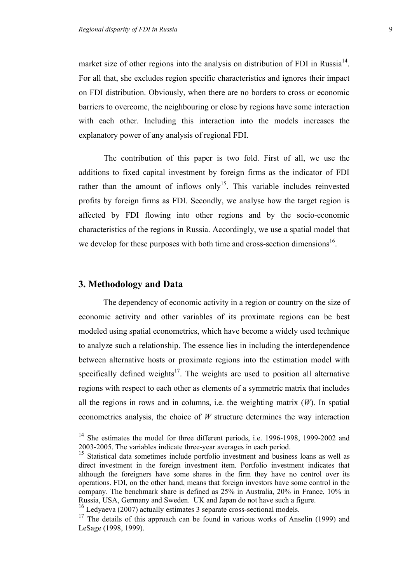market size of other regions into the analysis on distribution of FDI in Russia<sup>14</sup>. For all that, she excludes region specific characteristics and ignores their impact on FDI distribution. Obviously, when there are no borders to cross or economic barriers to overcome, the neighbouring or close by regions have some interaction with each other. Including this interaction into the models increases the explanatory power of any analysis of regional FDI.

The contribution of this paper is two fold. First of all, we use the additions to fixed capital investment by foreign firms as the indicator of FDI rather than the amount of inflows only<sup>15</sup>. This variable includes reinvested profits by foreign firms as FDI. Secondly, we analyse how the target region is affected by FDI flowing into other regions and by the socio-economic characteristics of the regions in Russia. Accordingly, we use a spatial model that we develop for these purposes with both time and cross-section dimensions<sup>16</sup>.

#### **3. Methodology and Data**

 $\overline{a}$ 

The dependency of economic activity in a region or country on the size of economic activity and other variables of its proximate regions can be best modeled using spatial econometrics, which have become a widely used technique to analyze such a relationship. The essence lies in including the interdependence between alternative hosts or proximate regions into the estimation model with specifically defined weights<sup>17</sup>. The weights are used to position all alternative regions with respect to each other as elements of a symmetric matrix that includes all the regions in rows and in columns, i.e. the weighting matrix (*W*). In spatial econometrics analysis, the choice of *W* structure determines the way interaction

<sup>&</sup>lt;sup>14</sup> She estimates the model for three different periods, i.e. 1996-1998, 1999-2002 and 2003-2005. The variables indicate three-year averages in each period.

<sup>&</sup>lt;sup>15</sup> Statistical data sometimes include portfolio investment and business loans as well as direct investment in the foreign investment item. Portfolio investment indicates that although the foreigners have some shares in the firm they have no control over its operations. FDI, on the other hand, means that foreign investors have some control in the company. The benchmark share is defined as 25% in Australia, 20% in France, 10% in Russia, USA, Germany and Sweden. UK and Japan do not have such a figure.

<sup>&</sup>lt;sup>16</sup> Ledyaeva (2007) actually estimates 3 separate cross-sectional models.

 $17$  The details of this approach can be found in various works of Anselin (1999) and LeSage (1998, 1999).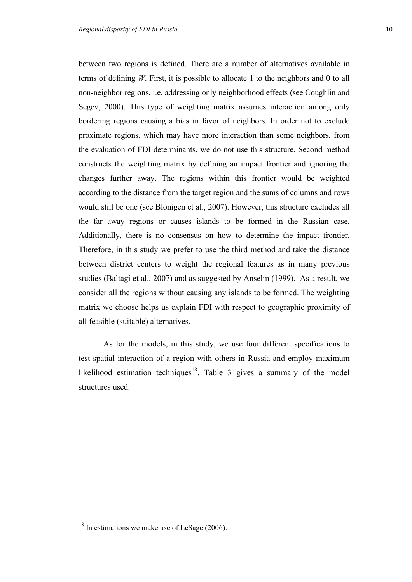between two regions is defined. There are a number of alternatives available in terms of defining *W*. First, it is possible to allocate 1 to the neighbors and 0 to all non-neighbor regions, i.e. addressing only neighborhood effects (see Coughlin and Segev, 2000). This type of weighting matrix assumes interaction among only bordering regions causing a bias in favor of neighbors. In order not to exclude proximate regions, which may have more interaction than some neighbors, from the evaluation of FDI determinants, we do not use this structure. Second method constructs the weighting matrix by defining an impact frontier and ignoring the changes further away. The regions within this frontier would be weighted according to the distance from the target region and the sums of columns and rows would still be one (see Blonigen et al., 2007). However, this structure excludes all the far away regions or causes islands to be formed in the Russian case. Additionally, there is no consensus on how to determine the impact frontier. Therefore, in this study we prefer to use the third method and take the distance between district centers to weight the regional features as in many previous studies (Baltagi et al., 2007) and as suggested by Anselin (1999). As a result, we consider all the regions without causing any islands to be formed. The weighting matrix we choose helps us explain FDI with respect to geographic proximity of all feasible (suitable) alternatives.

As for the models, in this study, we use four different specifications to test spatial interaction of a region with others in Russia and employ maximum likelihood estimation techniques<sup>18</sup>. Table 3 gives a summary of the model structures used.

 $18$  In estimations we make use of LeSage (2006).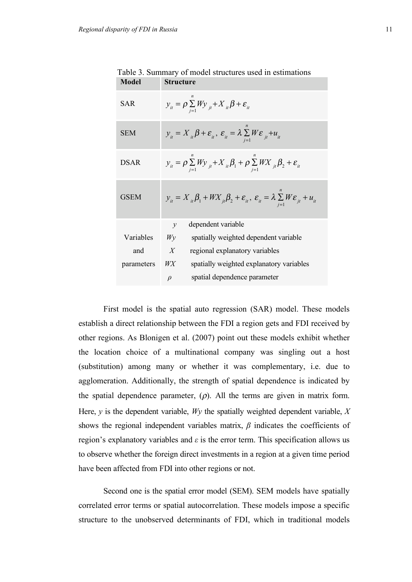| <b>Model</b> | <b>Structure</b>                                                                                                                     |
|--------------|--------------------------------------------------------------------------------------------------------------------------------------|
| SAR          | $y_{it} = \rho \sum_{i=1} W y_{it} + X_{it} \beta + \varepsilon_{it}$                                                                |
| <b>SEM</b>   | $y_{ii} = X_{ii} \beta + \varepsilon_{ii}, \ \varepsilon_{ii} = \lambda \sum_{i=1} W \varepsilon_{ii} + u_{ii}$                      |
| <b>DSAR</b>  | $y_{ii} = \rho \sum_{i=1} W y_{ii} + X_{ii} \beta_1 + \rho \sum_{i=1} W X_{ii} \beta_2 + \varepsilon_{ii}$                           |
| <b>GSEM</b>  | $y_{ii} = X_{ii} \beta_1 + W X_{ii} \beta_2 + \varepsilon_{ii}, \ \varepsilon_{ii} = \lambda \sum_{i=1} W \varepsilon_{ii} + u_{ii}$ |
|              | dependent variable<br>$\mathcal V$                                                                                                   |
| Variables    | spatially weighted dependent variable<br>$W_V$                                                                                       |
| and          | $\boldsymbol{X}$<br>regional explanatory variables                                                                                   |
| parameters   | WX<br>spatially weighted explanatory variables                                                                                       |
|              | spatial dependence parameter<br>$\rho$                                                                                               |

Table 3. Summary of model structures used in estimations

First model is the spatial auto regression (SAR) model. These models establish a direct relationship between the FDI a region gets and FDI received by other regions. As Blonigen et al. (2007) point out these models exhibit whether the location choice of a multinational company was singling out a host (substitution) among many or whether it was complementary, i.e. due to agglomeration. Additionally, the strength of spatial dependence is indicated by the spatial dependence parameter,  $(\rho)$ . All the terms are given in matrix form. Here,  $y$  is the dependent variable,  $Wy$  the spatially weighted dependent variable,  $X$ shows the regional independent variables matrix, *β* indicates the coefficients of region's explanatory variables and *ε* is the error term. This specification allows us to observe whether the foreign direct investments in a region at a given time period have been affected from FDI into other regions or not.

Second one is the spatial error model (SEM). SEM models have spatially correlated error terms or spatial autocorrelation. These models impose a specific structure to the unobserved determinants of FDI, which in traditional models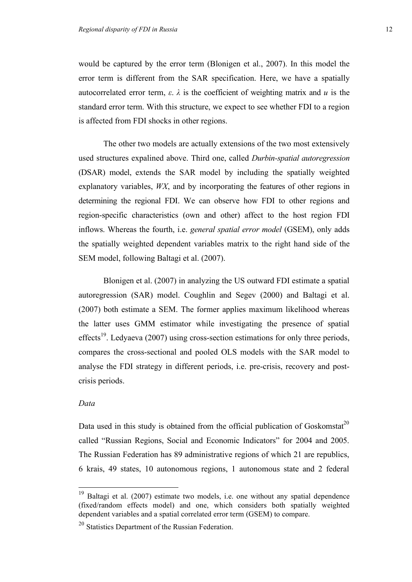would be captured by the error term (Blonigen et al., 2007). In this model the error term is different from the SAR specification. Here, we have a spatially autocorrelated error term,  $\varepsilon$ .  $\lambda$  is the coefficient of weighting matrix and *u* is the standard error term. With this structure, we expect to see whether FDI to a region is affected from FDI shocks in other regions.

The other two models are actually extensions of the two most extensively used structures expalined above. Third one, called *Durbin-spatial autoregression* (DSAR) model, extends the SAR model by including the spatially weighted explanatory variables, *WX*, and by incorporating the features of other regions in determining the regional FDI. We can observe how FDI to other regions and region-specific characteristics (own and other) affect to the host region FDI inflows. Whereas the fourth, i.e. *general spatial error model* (GSEM), only adds the spatially weighted dependent variables matrix to the right hand side of the SEM model, following Baltagi et al. (2007).

Blonigen et al. (2007) in analyzing the US outward FDI estimate a spatial autoregression (SAR) model. Coughlin and Segev (2000) and Baltagi et al. (2007) both estimate a SEM. The former applies maximum likelihood whereas the latter uses GMM estimator while investigating the presence of spatial effects<sup>19</sup>. Ledyaeva (2007) using cross-section estimations for only three periods, compares the cross-sectional and pooled OLS models with the SAR model to analyse the FDI strategy in different periods, i.e. pre-crisis, recovery and postcrisis periods.

#### *Data*

 $\overline{a}$ 

Data used in this study is obtained from the official publication of Goskomstat<sup>20</sup> called "Russian Regions, Social and Economic Indicators" for 2004 and 2005. The Russian Federation has 89 administrative regions of which 21 are republics, 6 krais, 49 states, 10 autonomous regions, 1 autonomous state and 2 federal

Baltagi et al. (2007) estimate two models, i.e. one without any spatial dependence (fixed/random effects model) and one, which considers both spatially weighted dependent variables and a spatial correlated error term (GSEM) to compare.

<sup>&</sup>lt;sup>20</sup> Statistics Department of the Russian Federation.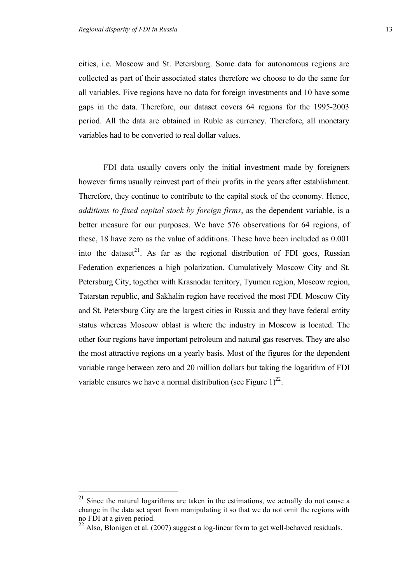cities, i.e. Moscow and St. Petersburg. Some data for autonomous regions are collected as part of their associated states therefore we choose to do the same for all variables. Five regions have no data for foreign investments and 10 have some gaps in the data. Therefore, our dataset covers 64 regions for the 1995-2003 period. All the data are obtained in Ruble as currency. Therefore, all monetary variables had to be converted to real dollar values.

FDI data usually covers only the initial investment made by foreigners however firms usually reinvest part of their profits in the years after establishment. Therefore, they continue to contribute to the capital stock of the economy. Hence, *additions to fixed capital stock by foreign firms*, as the dependent variable, is a better measure for our purposes. We have 576 observations for 64 regions, of these, 18 have zero as the value of additions. These have been included as 0.001 into the dataset<sup>21</sup>. As far as the regional distribution of FDI goes, Russian Federation experiences a high polarization. Cumulatively Moscow City and St. Petersburg City, together with Krasnodar territory, Tyumen region, Moscow region, Tatarstan republic, and Sakhalin region have received the most FDI. Moscow City and St. Petersburg City are the largest cities in Russia and they have federal entity status whereas Moscow oblast is where the industry in Moscow is located. The other four regions have important petroleum and natural gas reserves. They are also the most attractive regions on a yearly basis. Most of the figures for the dependent variable range between zero and 20 million dollars but taking the logarithm of FDI variable ensures we have a normal distribution (see Figure  $1)^{22}$ .

 $21$  Since the natural logarithms are taken in the estimations, we actually do not cause a change in the data set apart from manipulating it so that we do not omit the regions with no FDI at a given period.

 $^{22}$  Also, Blonigen et al. (2007) suggest a log-linear form to get well-behaved residuals.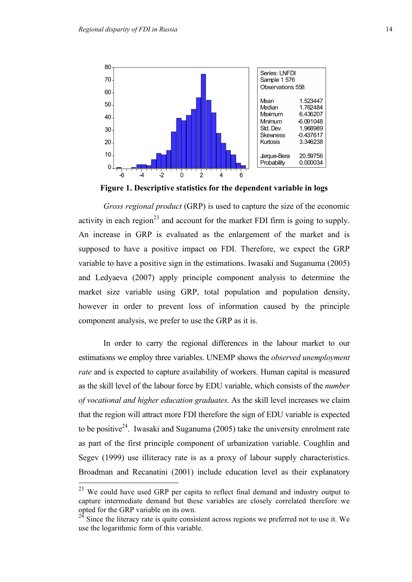

**Figure 1. Descriptive statistics for the dependent variable in logs**

*Gross regional product* (GRP) is used to capture the size of the economic activity in each region<sup>23</sup> and account for the market FDI firm is going to supply. An increase in GRP is evaluated as the enlargement of the market and is supposed to have a positive impact on FDI. Therefore, we expect the GRP variable to have a positive sign in the estimations. Iwasaki and Suganuma (2005) and Ledyaeva (2007) apply principle component analysis to determine the market size variable using GRP, total population and population density, however in order to prevent loss of information caused by the principle component analysis, we prefer to use the GRP as it is.

In order to carry the regional differences in the labour market to our estimations we employ three variables. UNEMP shows the *observed unemployment rate* and is expected to capture availability of workers. Human capital is measured as the skill level of the labour force by EDU variable, which consists of the *number of vocational and higher education graduates*. As the skill level increases we claim that the region will attract more FDI therefore the sign of EDU variable is expected to be positive<sup>24</sup>. Iwasaki and Suganuma (2005) take the university enrolment rate as part of the first principle component of urbanization variable. Coughlin and Segev (1999) use illiteracy rate is as a proxy of labour supply characteristics. Broadman and Recanatini (2001) include education level as their explanatory

 $23$  We could have used GRP per capita to reflect final demand and industry output to capture intermediate demand but these variables are closely correlated therefore we opted for the GRP variable on its own.

<sup>24</sup> Since the literacy rate is quite consistent across regions we preferred not to use it. We use the logarithmic form of this variable.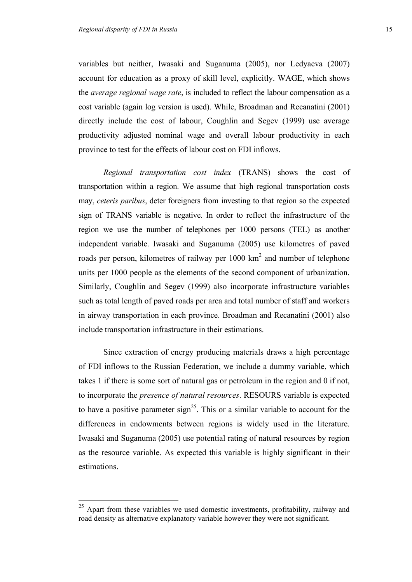variables but neither, Iwasaki and Suganuma (2005), nor Ledyaeva (2007) account for education as a proxy of skill level, explicitly. WAGE, which shows the *average regional wage rate*, is included to reflect the labour compensation as a cost variable (again log version is used). While, Broadman and Recanatini (2001) directly include the cost of labour, Coughlin and Segev (1999) use average productivity adjusted nominal wage and overall labour productivity in each province to test for the effects of labour cost on FDI inflows.

*Regional transportation cost index* (TRANS) shows the cost of transportation within a region. We assume that high regional transportation costs may, *ceteris paribus*, deter foreigners from investing to that region so the expected sign of TRANS variable is negative. In order to reflect the infrastructure of the region we use the number of telephones per 1000 persons (TEL) as another independent variable. Iwasaki and Suganuma (2005) use kilometres of paved roads per person, kilometres of railway per  $1000 \text{ km}^2$  and number of telephone units per 1000 people as the elements of the second component of urbanization. Similarly, Coughlin and Segev (1999) also incorporate infrastructure variables such as total length of paved roads per area and total number of staff and workers in airway transportation in each province. Broadman and Recanatini (2001) also include transportation infrastructure in their estimations.

Since extraction of energy producing materials draws a high percentage of FDI inflows to the Russian Federation, we include a dummy variable, which takes 1 if there is some sort of natural gas or petroleum in the region and 0 if not, to incorporate the *presence of natural resources*. RESOURS variable is expected to have a positive parameter sign<sup>25</sup>. This or a similar variable to account for the differences in endowments between regions is widely used in the literature. Iwasaki and Suganuma (2005) use potential rating of natural resources by region as the resource variable. As expected this variable is highly significant in their estimations.

 $25$  Apart from these variables we used domestic investments, profitability, railway and road density as alternative explanatory variable however they were not significant.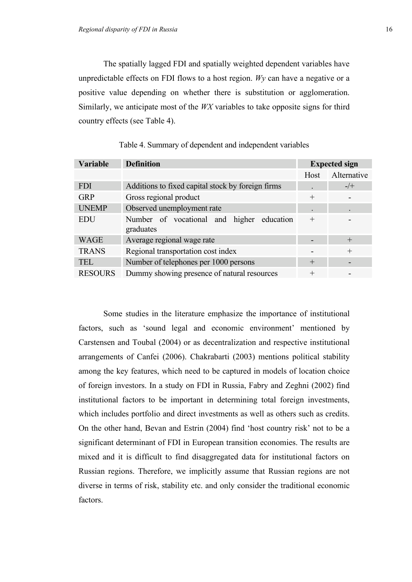The spatially lagged FDI and spatially weighted dependent variables have unpredictable effects on FDI flows to a host region. *Wy* can have a negative or a positive value depending on whether there is substitution or agglomeration. Similarly, we anticipate most of the *WX* variables to take opposite signs for third country effects (see Table 4).

| Variable       | <b>Definition</b>                                      | <b>Expected sign</b> |             |
|----------------|--------------------------------------------------------|----------------------|-------------|
|                |                                                        | Host                 | Alternative |
| <b>FDI</b>     | Additions to fixed capital stock by foreign firms      |                      | $-$ /+      |
| <b>GRP</b>     | Gross regional product                                 | $^{+}$               |             |
| <b>UNEMP</b>   | Observed unemployment rate                             |                      |             |
| <b>EDU</b>     | Number of vocational and higher education<br>graduates | $^{+}$               |             |
| <b>WAGE</b>    | Average regional wage rate                             |                      | $\pm$       |
| <b>TRANS</b>   | Regional transportation cost index                     |                      | $^{+}$      |
| <b>TEL</b>     | Number of telephones per 1000 persons                  | $^{+}$               |             |
| <b>RESOURS</b> | Dummy showing presence of natural resources            | $^{+}$               | -           |

Table 4. Summary of dependent and independent variables

Some studies in the literature emphasize the importance of institutional factors, such as 'sound legal and economic environment' mentioned by Carstensen and Toubal (2004) or as decentralization and respective institutional arrangements of Canfei (2006). Chakrabarti (2003) mentions political stability among the key features, which need to be captured in models of location choice of foreign investors. In a study on FDI in Russia, Fabry and Zeghni (2002) find institutional factors to be important in determining total foreign investments, which includes portfolio and direct investments as well as others such as credits. On the other hand, Bevan and Estrin (2004) find 'host country risk' not to be a significant determinant of FDI in European transition economies. The results are mixed and it is difficult to find disaggregated data for institutional factors on Russian regions. Therefore, we implicitly assume that Russian regions are not diverse in terms of risk, stability etc. and only consider the traditional economic factors.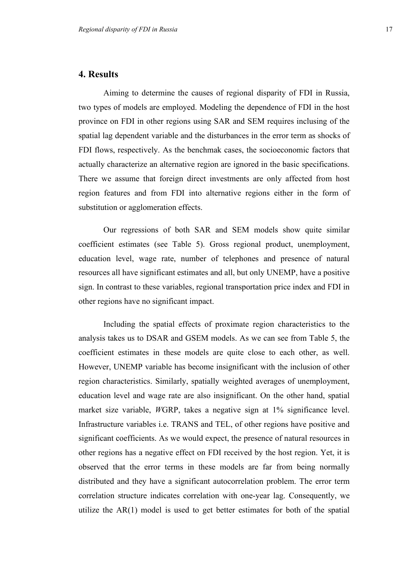#### **4. Results**

Aiming to determine the causes of regional disparity of FDI in Russia, two types of models are employed. Modeling the dependence of FDI in the host province on FDI in other regions using SAR and SEM requires inclusing of the spatial lag dependent variable and the disturbances in the error term as shocks of FDI flows, respectively. As the benchmak cases, the socioeconomic factors that actually characterize an alternative region are ignored in the basic specifications. There we assume that foreign direct investments are only affected from host region features and from FDI into alternative regions either in the form of substitution or agglomeration effects.

Our regressions of both SAR and SEM models show quite similar coefficient estimates (see Table 5). Gross regional product, unemployment, education level, wage rate, number of telephones and presence of natural resources all have significant estimates and all, but only UNEMP, have a positive sign. In contrast to these variables, regional transportation price index and FDI in other regions have no significant impact.

Including the spatial effects of proximate region characteristics to the analysis takes us to DSAR and GSEM models. As we can see from Table 5, the coefficient estimates in these models are quite close to each other, as well. However, UNEMP variable has become insignificant with the inclusion of other region characteristics. Similarly, spatially weighted averages of unemployment, education level and wage rate are also insignificant. On the other hand, spatial market size variable, *W*GRP, takes a negative sign at 1% significance level. Infrastructure variables i.e. TRANS and TEL, of other regions have positive and significant coefficients. As we would expect, the presence of natural resources in other regions has a negative effect on FDI received by the host region. Yet, it is observed that the error terms in these models are far from being normally distributed and they have a significant autocorrelation problem. The error term correlation structure indicates correlation with one-year lag. Consequently, we utilize the AR(1) model is used to get better estimates for both of the spatial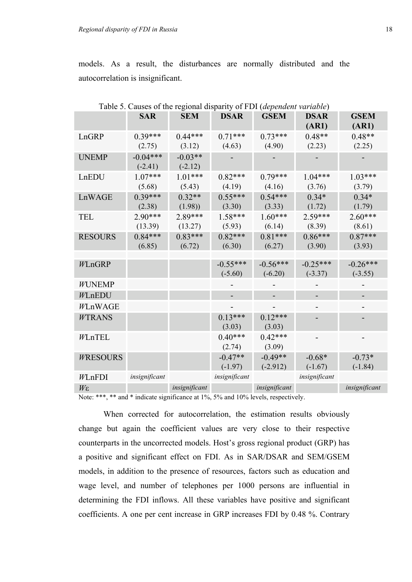models. As a result, the disturbances are normally distributed and the autocorrelation is insignificant.

|                   |               | Table 5. Causes of the regional disparity of FDT (dependent variable) |               |               |               |               |
|-------------------|---------------|-----------------------------------------------------------------------|---------------|---------------|---------------|---------------|
|                   | <b>SAR</b>    | <b>SEM</b>                                                            | <b>DSAR</b>   | <b>GSEM</b>   | <b>DSAR</b>   | <b>GSEM</b>   |
|                   |               |                                                                       |               |               | (AR1)         | (AR1)         |
| LnGRP             | $0.39***$     | $0.44***$                                                             | $0.71***$     | $0.73***$     | $0.48**$      | $0.48**$      |
|                   | (2.75)        | (3.12)                                                                | (4.63)        | (4.90)        | (2.23)        | (2.25)        |
| <b>UNEMP</b>      | $-0.04***$    | $-0.03**$                                                             |               |               |               |               |
|                   | $(-2.41)$     | $(-2.12)$                                                             |               |               |               |               |
| LnEDU             | $1.07***$     | $1.01***$                                                             | $0.82***$     | $0.79***$     | $1.04***$     | $1.03***$     |
|                   | (5.68)        | (5.43)                                                                | (4.19)        | (4.16)        | (3.76)        | (3.79)        |
| LnWAGE            | $0.39***$     | $0.32**$                                                              | $0.55***$     | $0.54***$     | $0.34*$       | $0.34*$       |
|                   | (2.38)        | (1.98)                                                                | (3.30)        | (3.33)        | (1.72)        | (1.79)        |
| <b>TEL</b>        | $2.90***$     | 2.89***                                                               | $1.58***$     | $1.60***$     | 2.59***       | $2.60***$     |
|                   | (13.39)       | (13.27)                                                               | (5.93)        | (6.14)        | (8.39)        | (8.61)        |
| <b>RESOURS</b>    | $0.84***$     | $0.83***$                                                             | $0.82***$     | $0.81***$     | $0.86***$     | $0.87***$     |
|                   | (6.85)        | (6.72)                                                                | (6.30)        | (6.27)        | (3.90)        | (3.93)        |
|                   |               |                                                                       |               |               |               |               |
| WLnGRP            |               |                                                                       | $-0.55***$    | $-0.56***$    | $-0.25***$    | $-0.26***$    |
|                   |               |                                                                       | $(-5.60)$     | $(-6.20)$     | $(-3.37)$     | $(-3.55)$     |
| <b>WUNEMP</b>     |               |                                                                       |               |               |               |               |
| WLnEDU            |               |                                                                       |               |               |               |               |
| WLnWAGE           |               |                                                                       |               |               |               |               |
| <b>WTRANS</b>     |               |                                                                       | $0.13***$     | $0.12***$     |               |               |
|                   |               |                                                                       | (3.03)        | (3.03)        |               |               |
| WLnTEL            |               |                                                                       | $0.40***$     | $0.42***$     |               |               |
|                   |               |                                                                       | (2.74)        | (3.09)        |               |               |
| <b>WRESOURS</b>   |               |                                                                       | $-0.47**$     | $-0.49**$     | $-0.68*$      | $-0.73*$      |
|                   |               |                                                                       | $(-1.97)$     | $(-2.912)$    | $(-1.67)$     | $(-1.84)$     |
| WLnFDI            | insignificant |                                                                       | insignificant |               | insignificant |               |
| $W_{\varepsilon}$ |               | insignificant                                                         |               | insignificant |               | insignificant |

Table 5. Causes of the regional disparity of FDI (*dependent variable*)

Note: \*\*\*, \*\* and \* indicate significance at 1%, 5% and 10% levels, respectively.

When corrected for autocorrelation, the estimation results obviously change but again the coefficient values are very close to their respective counterparts in the uncorrected models. Host's gross regional product (GRP) has a positive and significant effect on FDI. As in SAR/DSAR and SEM/GSEM models, in addition to the presence of resources, factors such as education and wage level, and number of telephones per 1000 persons are influential in determining the FDI inflows. All these variables have positive and significant coefficients. A one per cent increase in GRP increases FDI by 0.48 %. Contrary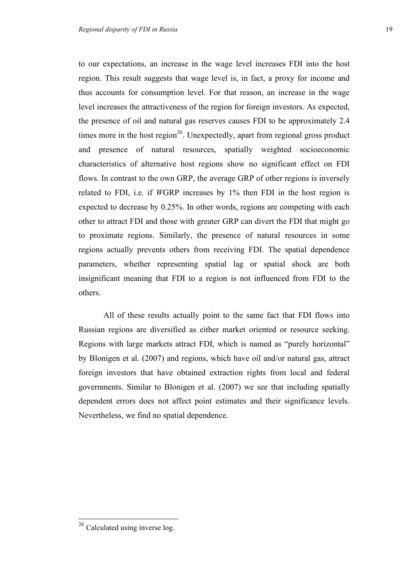to our expectations, an increase in the wage level increases FDI into the host region. This result suggests that wage level is, in fact, a proxy for income and thus accounts for consumption level. For that reason, an increase in the wage level increases the attractiveness of the region for foreign investors. As expected, the presence of oil and natural gas reserves causes FDI to be approximately 2.4 times more in the host region<sup>26</sup>. Unexpectedly, apart from regional gross product and presence of natural resources, spatially weighted socioeconomic characteristics of alternative host regions show no significant effect on FDI flows. In contrast to the own GRP, the average GRP of other regions is inversely related to FDI, i.e. if *W*GRP increases by 1% then FDI in the host region is expected to decrease by 0.25%. In other words, regions are competing with each other to attract FDI and those with greater GRP can divert the FDI that might go to proximate regions. Similarly, the presence of natural resources in some regions actually prevents others from receiving FDI. The spatial dependence parameters, whether representing spatial lag or spatial shock are both insignificant meaning that FDI to a region is not influenced from FDI to the others.

All of these results actually point to the same fact that FDI flows into Russian regions are diversified as either market oriented or resource seeking. Regions with large markets attract FDI, which is named as "purely horizontal" by Blonigen et al. (2007) and regions, which have oil and/or natural gas, attract foreign investors that have obtained extraction rights from local and federal governments. Similar to Blonigen et al. (2007) we see that including spatially dependent errors does not affect point estimates and their significance levels. Nevertheless, we find no spatial dependence.

 $26$  Calculated using inverse log.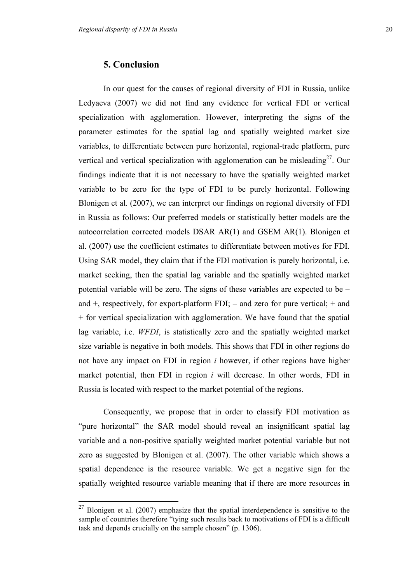In our quest for the causes of regional diversity of FDI in Russia, unlike Ledyaeva (2007) we did not find any evidence for vertical FDI or vertical specialization with agglomeration. However, interpreting the signs of the parameter estimates for the spatial lag and spatially weighted market size variables, to differentiate between pure horizontal, regional-trade platform, pure vertical and vertical specialization with agglomeration can be misleading<sup>27</sup>. Our findings indicate that it is not necessary to have the spatially weighted market variable to be zero for the type of FDI to be purely horizontal. Following Blonigen et al. (2007), we can interpret our findings on regional diversity of FDI in Russia as follows: Our preferred models or statistically better models are the autocorrelation corrected models DSAR AR(1) and GSEM AR(1). Blonigen et al. (2007) use the coefficient estimates to differentiate between motives for FDI. Using SAR model, they claim that if the FDI motivation is purely horizontal, i.e. market seeking, then the spatial lag variable and the spatially weighted market potential variable will be zero. The signs of these variables are expected to be – and  $+$ , respectively, for export-platform FDI;  $-$  and zero for pure vertical;  $+$  and + for vertical specialization with agglomeration. We have found that the spatial lag variable, i.e. *WFDI*, is statistically zero and the spatially weighted market size variable is negative in both models. This shows that FDI in other regions do not have any impact on FDI in region *i* however, if other regions have higher market potential, then FDI in region *i* will decrease. In other words, FDI in Russia is located with respect to the market potential of the regions.

Consequently, we propose that in order to classify FDI motivation as "pure horizontal" the SAR model should reveal an insignificant spatial lag variable and a non-positive spatially weighted market potential variable but not zero as suggested by Blonigen et al. (2007). The other variable which shows a spatial dependence is the resource variable. We get a negative sign for the spatially weighted resource variable meaning that if there are more resources in

 $27$  Blonigen et al. (2007) emphasize that the spatial interdependence is sensitive to the sample of countries therefore "tying such results back to motivations of FDI is a difficult task and depends crucially on the sample chosen" (p. 1306).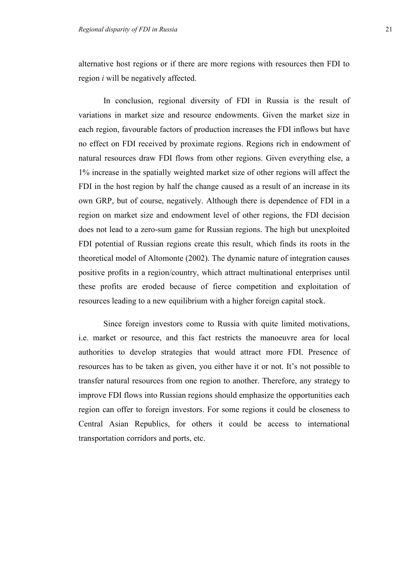alternative host regions or if there are more regions with resources then FDI to region *i* will be negatively affected.

In conclusion, regional diversity of FDI in Russia is the result of variations in market size and resource endowments. Given the market size in each region, favourable factors of production increases the FDI inflows but have no effect on FDI received by proximate regions. Regions rich in endowment of natural resources draw FDI flows from other regions. Given everything else, a 1% increase in the spatially weighted market size of other regions will affect the FDI in the host region by half the change caused as a result of an increase in its own GRP, but of course, negatively. Although there is dependence of FDI in a region on market size and endowment level of other regions, the FDI decision does not lead to a zero-sum game for Russian regions. The high but unexploited FDI potential of Russian regions create this result, which finds its roots in the theoretical model of Altomonte (2002). The dynamic nature of integration causes positive profits in a region/country, which attract multinational enterprises until these profits are eroded because of fierce competition and exploitation of resources leading to a new equilibrium with a higher foreign capital stock.

Since foreign investors come to Russia with quite limited motivations, i.e. market or resource, and this fact restricts the manoeuvre area for local authorities to develop strategies that would attract more FDI. Presence of resources has to be taken as given, you either have it or not. It's not possible to transfer natural resources from one region to another. Therefore, any strategy to improve FDI flows into Russian regions should emphasize the opportunities each region can offer to foreign investors. For some regions it could be closeness to Central Asian Republics, for others it could be access to international transportation corridors and ports, etc.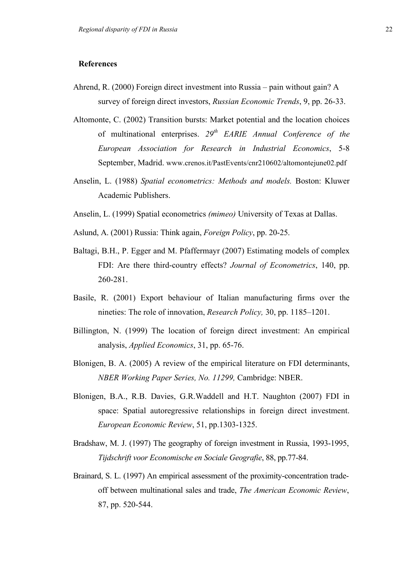#### **References**

- Ahrend, R. (2000) Foreign direct investment into Russia pain without gain? A survey of foreign direct investors, *Russian Economic Trends*, 9, pp. 26-33.
- Altomonte, C. (2002) Transition bursts: Market potential and the location choices of multinational enterprises. *29th EARIE Annual Conference of the European Association for Research in Industrial Economics*, 5-8 September, Madrid. www.crenos.it/PastEvents/cnr210602/altomontejune02.pdf
- Anselin, L. (1988) *Spatial econometrics: Methods and models.* Boston: Kluwer Academic Publishers.
- Anselin, L. (1999) Spatial econometrics *(mimeo)* University of Texas at Dallas.
- Aslund, A. (2001) Russia: Think again, *Foreign Policy*, pp. 20-25.
- Baltagi, B.H., P. Egger and M. Pfaffermayr (2007) Estimating models of complex FDI: Are there third-country effects? *Journal of Econometrics*, 140, pp. 260-281.
- Basile, R. (2001) Export behaviour of Italian manufacturing firms over the nineties: The role of innovation, *Research Policy,* 30, pp. 1185–1201.
- Billington, N. (1999) The location of foreign direct investment: An empirical analysis, *Applied Economics*, 31, pp. 65-76.
- Blonigen, B. A. (2005) A review of the empirical literature on FDI determinants, *NBER Working Paper Series, No. 11299,* Cambridge: NBER.
- Blonigen, B.A., R.B. Davies, G.R.Waddell and H.T. Naughton (2007) FDI in space: Spatial autoregressive relationships in foreign direct investment. *European Economic Review*, 51, pp.1303-1325.
- Bradshaw, M. J. (1997) The geography of foreign investment in Russia, 1993-1995, *Tijdschrift voor Economische en Sociale Geografie*, 88, pp.77-84.
- Brainard, S. L. (1997) An empirical assessment of the proximity-concentration tradeoff between multinational sales and trade, *The American Economic Review*, 87, pp. 520-544.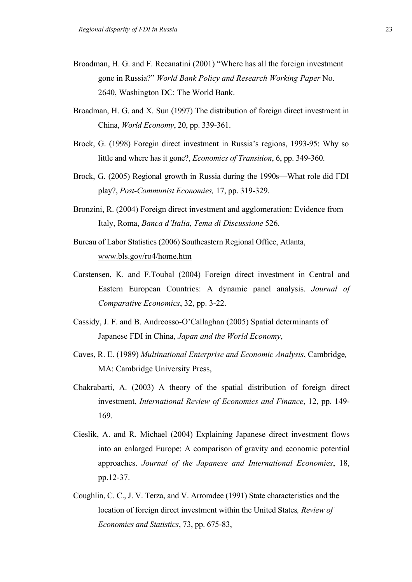- Broadman, H. G. and F. Recanatini (2001) "Where has all the foreign investment gone in Russia?" *World Bank Policy and Research Working Paper* No. 2640, Washington DC: The World Bank.
- Broadman, H. G. and X. Sun (1997) The distribution of foreign direct investment in China, *World Economy*, 20, pp. 339-361.
- Brock, G. (1998) Foregin direct investment in Russia's regions, 1993-95: Why so little and where has it gone?, *Economics of Transition*, 6, pp. 349-360.
- Brock, G. (2005) Regional growth in Russia during the 1990s—What role did FDI play?, *Post-Communist Economies,* 17, pp. 319-329.
- Bronzini, R. (2004) Foreign direct investment and agglomeration: Evidence from Italy, Roma, *Banca d'Italia, Tema di Discussione* 526.
- Bureau of Labor Statistics (2006) Southeastern Regional Office, Atlanta, www.bls.gov/ro4/home.htm
- Carstensen, K. and F.Toubal (2004) Foreign direct investment in Central and Eastern European Countries: A dynamic panel analysis. *Journal of Comparative Economics*, 32, pp. 3-22.
- Cassidy, J. F. and B. Andreosso-O'Callaghan (2005) Spatial determinants of Japanese FDI in China, *Japan and the World Economy*,
- Caves, R. E. (1989) *Multinational Enterprise and Economic Analysis*, Cambridge*,*  MA: Cambridge University Press,
- Chakrabarti, A. (2003) A theory of the spatial distribution of foreign direct investment, *International Review of Economics and Finance*, 12, pp. 149- 169.
- Cieslik, A. and R. Michael (2004) Explaining Japanese direct investment flows into an enlarged Europe: A comparison of gravity and economic potential approaches. *Journal of the Japanese and International Economies*, 18, pp.12-37.
- Coughlin, C. C., J. V. Terza, and V. Arromdee (1991) State characteristics and the location of foreign direct investment within the United States*, Review of Economies and Statistics*, 73, pp. 675-83,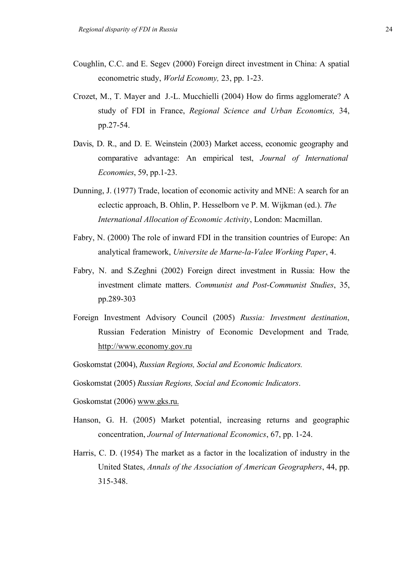- Coughlin, C.C. and E. Segev (2000) Foreign direct investment in China: A spatial econometric study, *World Economy,* 23, pp. 1-23.
- Crozet, M., T. Mayer and J.-L. Mucchielli (2004) How do firms agglomerate? A study of FDI in France, *Regional Science and Urban Economics,* 34, pp.27-54.
- Davis, D. R., and D. E. Weinstein (2003) Market access, economic geography and comparative advantage: An empirical test, *Journal of International Economies*, 59, pp.1-23.
- Dunning, J. (1977) Trade, location of economic activity and MNE: A search for an eclectic approach, B. Ohlin, P. Hesselborn ve P. M. Wijkman (ed.). *The International Allocation of Economic Activity*, London: Macmillan.
- Fabry, N. (2000) The role of inward FDI in the transition countries of Europe: An analytical framework, *Universite de Marne-la-Valee Working Paper*, 4.
- Fabry, N. and S.Zeghni (2002) Foreign direct investment in Russia: How the investment climate matters. *Communist and Post-Communist Studies*, 35, pp.289-303
- Foreign Investment Advisory Council (2005) *Russia: Investment destination*, Russian Federation Ministry of Economic Development and Trade*,*  http://www.economy.gov.ru
- Goskomstat (2004), *Russian Regions, Social and Economic Indicators.*

Goskomstat (2005) *Russian Regions, Social and Economic Indicators*.

- Goskomstat (2006) www.gks.ru.
- Hanson, G. H. (2005) Market potential, increasing returns and geographic concentration, *Journal of International Economics*, 67, pp. 1-24.
- Harris, C. D. (1954) The market as a factor in the localization of industry in the United States, *Annals of the Association of American Geographers*, 44, pp. 315-348.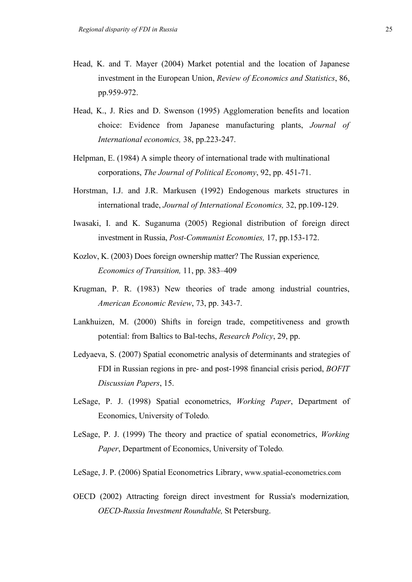- Head, K. and T. Mayer (2004) Market potential and the location of Japanese investment in the European Union, *Review of Economics and Statistics*, 86, pp.959-972.
- Head, K., J. Ries and D. Swenson (1995) Agglomeration benefits and location choice: Evidence from Japanese manufacturing plants, *Journal of International economics,* 38, pp.223-247.
- Helpman, E. (1984) A simple theory of international trade with multinational corporations, *The Journal of Political Economy*, 92, pp. 451-71.
- Horstman, I.J. and J.R. Markusen (1992) Endogenous markets structures in international trade, *Journal of International Economics,* 32, pp.109-129.
- Iwasaki, I. and K. Suganuma (2005) Regional distribution of foreign direct investment in Russia, *Post-Communist Economies,* 17, pp.153-172.
- Kozlov, K. (2003) Does foreign ownership matter? The Russian experience*, Economics of Transition,* 11, pp. 383–409
- Krugman, P. R. (1983) New theories of trade among industrial countries, *American Economic Review*, 73, pp. 343-7.
- Lankhuizen, M. (2000) Shifts in foreign trade, competitiveness and growth potential: from Baltics to Bal-techs, *Research Policy*, 29, pp.
- Ledyaeva, S. (2007) Spatial econometric analysis of determinants and strategies of FDI in Russian regions in pre- and post-1998 financial crisis period, *BOFIT Discussian Papers*, 15.
- LeSage, P. J. (1998) Spatial econometrics, *Working Paper*, Department of Economics, University of Toledo*.*
- LeSage, P. J. (1999) The theory and practice of spatial econometrics, *Working Paper*, Department of Economics, University of Toledo*.*
- LeSage, J. P. (2006) Spatial Econometrics Library, www.spatial-econometrics.com
- OECD (2002) Attracting foreign direct investment for Russia's modernization*, OECD-Russia Investment Roundtable,* St Petersburg.